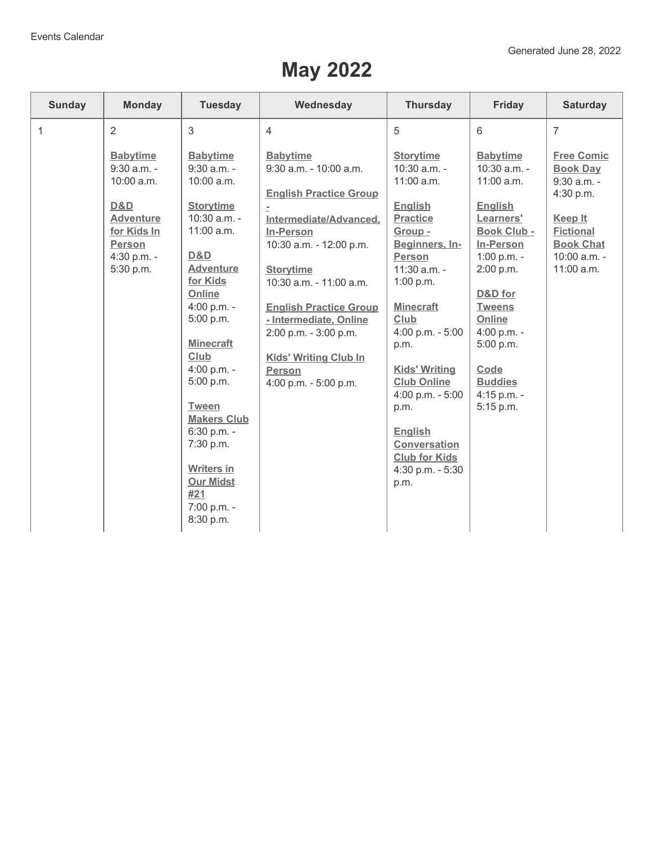## **May 2022**

| <b>Sunday</b> | <b>Monday</b>                                                                                                                         | <b>Tuesday</b>                                                                                                                                                                                                                                                                                                                                                         | Wednesday                                                                                                                                                                                                                                                                                                                                                        | <b>Thursday</b>                                                                                                                                                                                                                                                                                                                                                                                     | <b>Friday</b>                                                                                                                                                                                                                                                | <b>Saturday</b>                                                                                                                                     |
|---------------|---------------------------------------------------------------------------------------------------------------------------------------|------------------------------------------------------------------------------------------------------------------------------------------------------------------------------------------------------------------------------------------------------------------------------------------------------------------------------------------------------------------------|------------------------------------------------------------------------------------------------------------------------------------------------------------------------------------------------------------------------------------------------------------------------------------------------------------------------------------------------------------------|-----------------------------------------------------------------------------------------------------------------------------------------------------------------------------------------------------------------------------------------------------------------------------------------------------------------------------------------------------------------------------------------------------|--------------------------------------------------------------------------------------------------------------------------------------------------------------------------------------------------------------------------------------------------------------|-----------------------------------------------------------------------------------------------------------------------------------------------------|
| $\mathbf{1}$  | 2                                                                                                                                     | $\mathfrak{B}$                                                                                                                                                                                                                                                                                                                                                         | $\overline{4}$                                                                                                                                                                                                                                                                                                                                                   | 5                                                                                                                                                                                                                                                                                                                                                                                                   | 6                                                                                                                                                                                                                                                            | $\overline{7}$                                                                                                                                      |
|               | <b>Babytime</b><br>$9:30$ a.m. -<br>10:00 a.m.<br>D&D<br><b>Adventure</b><br>for Kids In<br><b>Person</b><br>4:30 p.m. -<br>5:30 p.m. | <b>Babytime</b><br>$9:30$ a.m. -<br>10:00 a.m.<br><b>Storytime</b><br>10:30 a.m. -<br>11:00 a.m.<br>D&D<br><b>Adventure</b><br>for Kids<br>Online<br>4:00 p.m. -<br>5:00 p.m.<br><b>Minecraft</b><br>Club<br>4:00 p.m. -<br>5:00 p.m.<br><b>Tween</b><br><b>Makers Club</b><br>6:30 p.m. -<br>7:30 p.m.<br><b>Writers in</b><br><b>Our Midst</b><br>#21<br>7:00 p.m. - | <b>Babytime</b><br>9:30 a.m. - 10:00 a.m.<br><b>English Practice Group</b><br>Intermediate/Advanced,<br><b>In-Person</b><br>10:30 a.m. - 12:00 p.m.<br><b>Storytime</b><br>10:30 a.m. - 11:00 a.m.<br><b>English Practice Group</b><br>- Intermediate, Online<br>2:00 p.m. - 3:00 p.m.<br><b>Kids' Writing Club In</b><br><b>Person</b><br>4:00 p.m. - 5:00 p.m. | <b>Storytime</b><br>$10:30$ a.m. -<br>11:00 a.m.<br><b>English</b><br><b>Practice</b><br>Group -<br>Beginners, In-<br><b>Person</b><br>$11:30$ a.m. -<br>1:00 p.m.<br><b>Minecraft</b><br>Club<br>4:00 p.m. - 5:00<br>p.m.<br><b>Kids' Writing</b><br><b>Club Online</b><br>$4:00$ p.m. - 5:00<br>p.m.<br><b>English</b><br><b>Conversation</b><br><b>Club for Kids</b><br>4:30 p.m. - 5:30<br>p.m. | <b>Babytime</b><br>10:30 a.m. -<br>11:00 a.m.<br><b>English</b><br>Learners'<br>Book Club -<br>In-Person<br>1:00 p.m. -<br>2:00 p.m.<br>D&D for<br><b>Tweens</b><br>Online<br>4:00 p.m. -<br>5:00 p.m.<br>Code<br><b>Buddies</b><br>4:15 p.m. -<br>5:15 p.m. | <b>Free Comic</b><br><b>Book Day</b><br>9:30 a.m. -<br>4:30 p.m.<br>Keep It<br><b>Fictional</b><br><b>Book Chat</b><br>$10:00$ a.m. -<br>11:00 a.m. |
|               |                                                                                                                                       | 8:30 p.m.                                                                                                                                                                                                                                                                                                                                                              |                                                                                                                                                                                                                                                                                                                                                                  |                                                                                                                                                                                                                                                                                                                                                                                                     |                                                                                                                                                                                                                                                              |                                                                                                                                                     |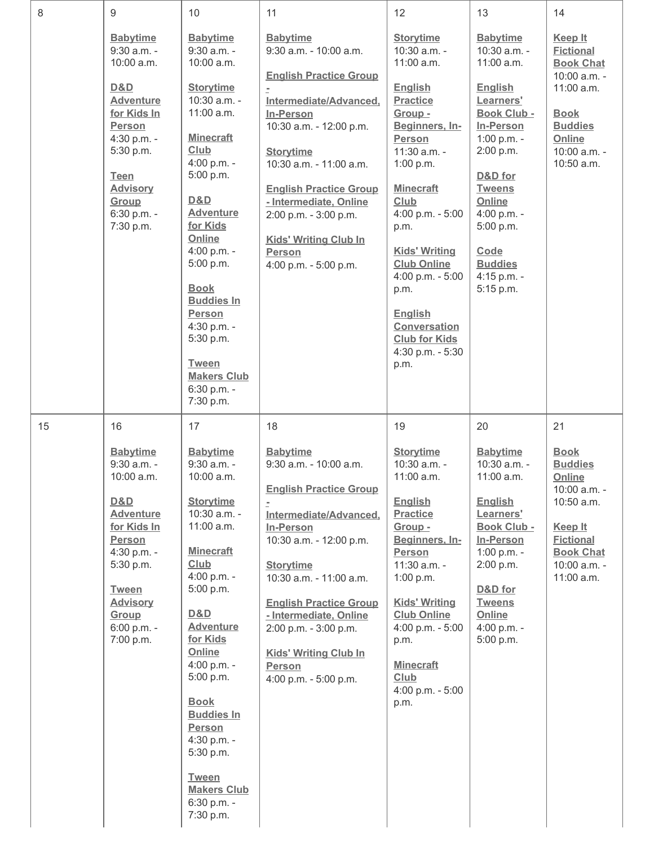| 8  | 9                                                                                                                                                                                                                              | 10                                                                                                                                                                                                                                                                                                                                                                                                    | 11                                                                                                                                                                                                                                                                                                                                                               | 12                                                                                                                                                                                                                                                                                                                                                                                     | 13                                                                                                                                                                                                                                                                    | 14                                                                                                                                                                  |
|----|--------------------------------------------------------------------------------------------------------------------------------------------------------------------------------------------------------------------------------|-------------------------------------------------------------------------------------------------------------------------------------------------------------------------------------------------------------------------------------------------------------------------------------------------------------------------------------------------------------------------------------------------------|------------------------------------------------------------------------------------------------------------------------------------------------------------------------------------------------------------------------------------------------------------------------------------------------------------------------------------------------------------------|----------------------------------------------------------------------------------------------------------------------------------------------------------------------------------------------------------------------------------------------------------------------------------------------------------------------------------------------------------------------------------------|-----------------------------------------------------------------------------------------------------------------------------------------------------------------------------------------------------------------------------------------------------------------------|---------------------------------------------------------------------------------------------------------------------------------------------------------------------|
|    | <b>Babytime</b><br>9:30 a.m. -<br>$10:00$ a.m.<br>D&D<br><b>Adventure</b><br>for Kids In<br><b>Person</b><br>4:30 p.m. -<br>5:30 p.m.<br><b>Teen</b><br><b>Advisory</b><br>Group<br>6:30 p.m. -<br>7:30 p.m.                   | <b>Babytime</b><br>9:30 a.m. -<br>10:00 a.m.<br><b>Storytime</b><br>10:30 a.m. -<br>11:00 a.m.<br><b>Minecraft</b><br>Club<br>4:00 p.m. -<br>5:00 p.m.<br>D&D<br><b>Adventure</b><br>for Kids<br>Online<br>4:00 p.m. -<br>5:00 p.m.<br><b>Book</b><br><b>Buddies In</b><br><b>Person</b><br>4:30 p.m. -<br>5:30 p.m.<br><b>Tween</b><br><b>Makers Club</b><br>6:30 p.m. -<br>7:30 p.m.                | <b>Babytime</b><br>9:30 a.m. - 10:00 a.m.<br><b>English Practice Group</b><br>Intermediate/Advanced,<br><b>In-Person</b><br>10:30 a.m. - 12:00 p.m.<br><b>Storytime</b><br>10:30 a.m. - 11:00 a.m.<br><b>English Practice Group</b><br>- Intermediate, Online<br>2:00 p.m. - 3:00 p.m.<br><b>Kids' Writing Club In</b><br><b>Person</b><br>4:00 p.m. - 5:00 p.m. | <b>Storytime</b><br>10:30 a.m. -<br>11:00 a.m.<br><b>English</b><br><b>Practice</b><br>Group -<br>Beginners, In-<br>Person<br>11:30 a.m. -<br>1:00 p.m.<br><b>Minecraft</b><br>Club<br>4:00 p.m. - 5:00<br>p.m.<br><b>Kids' Writing</b><br><b>Club Online</b><br>4:00 p.m. - 5:00<br>p.m.<br><b>English</b><br><b>Conversation</b><br><b>Club for Kids</b><br>4:30 p.m. - 5:30<br>p.m. | <b>Babytime</b><br>10:30 a.m. -<br>$11:00$ a.m.<br><b>English</b><br>Learners'<br><b>Book Club -</b><br>In-Person<br>1:00 p.m. -<br>2:00 p.m.<br>D&D for<br><b>Tweens</b><br>Online<br>4:00 p.m. -<br>5:00 p.m.<br>Code<br><b>Buddies</b><br>4:15 p.m. -<br>5:15 p.m. | <b>Keep It</b><br><b>Fictional</b><br><b>Book Chat</b><br>10:00 a.m. -<br>11:00 a.m.<br><b>Book</b><br><b>Buddies</b><br>Online<br>10:00 a.m. -<br>10:50 a.m.       |
| 15 | 16<br><b>Babytime</b><br>$9:30$ a.m. -<br>10:00 a.m.<br><b>D&amp;D</b><br><b>Adventure</b><br>for Kids In<br><b>Person</b><br>4:30 p.m. -<br>5:30 p.m.<br><b>Tween</b><br><b>Advisory</b><br>Group<br>6:00 p.m. -<br>7:00 p.m. | 17<br><b>Babytime</b><br>9:30 a.m. -<br>10:00 a.m.<br><b>Storytime</b><br>10:30 a.m. -<br>$11:00$ a.m.<br><b>Minecraft</b><br><u>Club</u><br>4:00 p.m. -<br>5:00 p.m.<br>D&D<br><b>Adventure</b><br>for Kids<br>Online<br>4:00 p.m. -<br>5:00 p.m.<br><b>Book</b><br><b>Buddies In</b><br><b>Person</b><br>4:30 p.m. -<br>5:30 p.m.<br><b>Tween</b><br><b>Makers Club</b><br>6:30 p.m. -<br>7:30 p.m. | 18<br><b>Babytime</b><br>9:30 a.m. - 10:00 a.m.<br><b>English Practice Group</b><br>Intermediate/Advanced,<br>In-Person<br>10:30 a.m. - 12:00 p.m.<br><b>Storytime</b><br>10:30 a.m. - 11:00 a.m.<br><b>English Practice Group</b><br>- Intermediate, Online<br>2:00 p.m. - 3:00 p.m.<br><b>Kids' Writing Club In</b><br>Person<br>4:00 p.m. - 5:00 p.m.         | 19<br><b>Storytime</b><br>10:30 a.m. -<br>11:00 a.m.<br><b>English</b><br><b>Practice</b><br>Group -<br>Beginners, In-<br><b>Person</b><br>$11:30$ a.m. -<br>1:00 p.m.<br><b>Kids' Writing</b><br><b>Club Online</b><br>4:00 p.m. - 5:00<br>p.m.<br><b>Minecraft</b><br><b>Club</b><br>4:00 p.m. - 5:00<br>p.m.                                                                        | 20<br><b>Babytime</b><br>10:30 a.m. -<br>11:00 a.m.<br><b>English</b><br>Learners'<br>Book Club -<br>In-Person<br>1:00 p.m. -<br>2:00 p.m.<br>D&D for<br><b>Tweens</b><br>Online<br>4:00 p.m. -<br>5:00 p.m.                                                          | 21<br><b>Book</b><br><b>Buddies</b><br>Online<br>10:00 a.m. -<br>10:50 a.m.<br><b>Keep It</b><br><b>Fictional</b><br><b>Book Chat</b><br>10:00 a.m. -<br>11:00 a.m. |